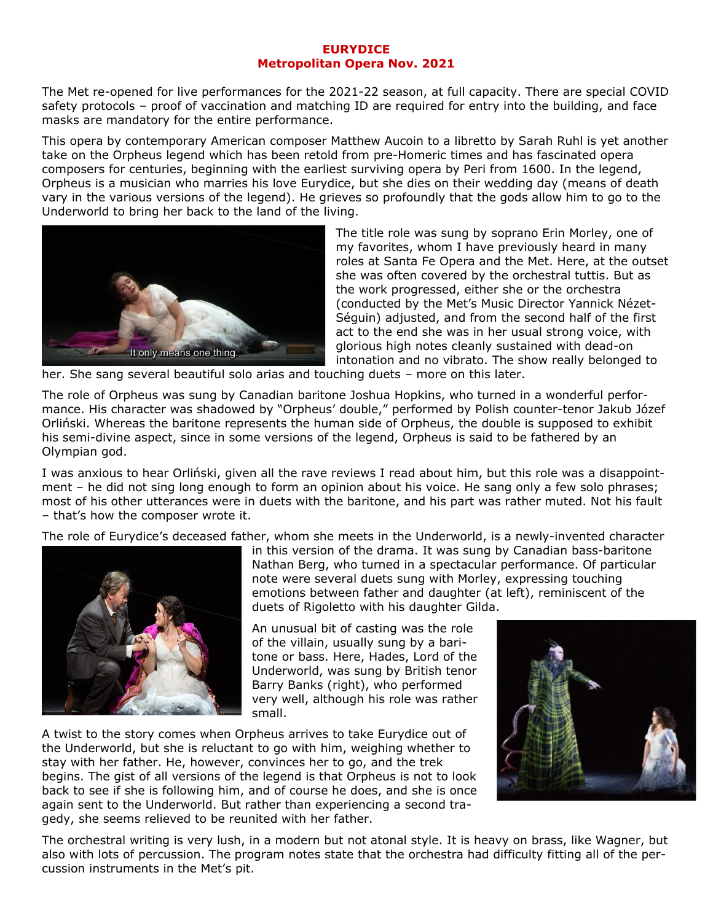## **EURYDICE Metropolitan Opera Nov. 2021**

The Met re-opened for live performances for the 2021-22 season, at full capacity. There are special COVID safety protocols – proof of vaccination and matching ID are required for entry into the building, and face masks are mandatory for the entire performance.

This opera by contemporary American composer Matthew Aucoin to a libretto by Sarah Ruhl is yet another take on the Orpheus legend which has been retold from pre-Homeric times and has fascinated opera composers for centuries, beginning with the earliest surviving opera by Peri from 1600. In the legend, Orpheus is a musician who marries his love Eurydice, but she dies on their wedding day (means of death vary in the various versions of the legend). He grieves so profoundly that the gods allow him to go to the Underworld to bring her back to the land of the living.



The title role was sung by soprano Erin Morley, one of my favorites, whom I have previously heard in many roles at Santa Fe Opera and the Met. Here, at the outset she was often covered by the orchestral tuttis. But as the work progressed, either she or the orchestra (conducted by the Met's Music Director Yannick Nézet-Séguin) adjusted, and from the second half of the first act to the end she was in her usual strong voice, with glorious high notes cleanly sustained with dead-on intonation and no vibrato. The show really belonged to

her. She sang several beautiful solo arias and touching duets – more on this later.

The role of Orpheus was sung by Canadian baritone Joshua Hopkins, who turned in a wonderful performance. His character was shadowed by "Orpheus' double," performed by Polish counter-tenor Jakub Józef Orliński. Whereas the baritone represents the human side of Orpheus, the double is supposed to exhibit his semi-divine aspect, since in some versions of the legend, Orpheus is said to be fathered by an Olympian god.

I was anxious to hear Orliński, given all the rave reviews I read about him, but this role was a disappointment – he did not sing long enough to form an opinion about his voice. He sang only a few solo phrases; most of his other utterances were in duets with the baritone, and his part was rather muted. Not his fault – that's how the composer wrote it.

The role of Eurydice's deceased father, whom she meets in the Underworld, is a newly-invented character



in this version of the drama. It was sung by Canadian bass-baritone Nathan Berg, who turned in a spectacular performance. Of particular note were several duets sung with Morley, expressing touching emotions between father and daughter (at left), reminiscent of the duets of Rigoletto with his daughter Gilda.

An unusual bit of casting was the role of the villain, usually sung by a baritone or bass. Here, Hades, Lord of the Underworld, was sung by British tenor Barry Banks (right), who performed very well, although his role was rather small.

A twist to the story comes when Orpheus arrives to take Eurydice out of the Underworld, but she is reluctant to go with him, weighing whether to stay with her father. He, however, convinces her to go, and the trek begins. The gist of all versions of the legend is that Orpheus is not to look back to see if she is following him, and of course he does, and she is once again sent to the Underworld. But rather than experiencing a second tragedy, she seems relieved to be reunited with her father.



The orchestral writing is very lush, in a modern but not atonal style. It is heavy on brass, like Wagner, but also with lots of percussion. The program notes state that the orchestra had difficulty fitting all of the percussion instruments in the Met's pit.